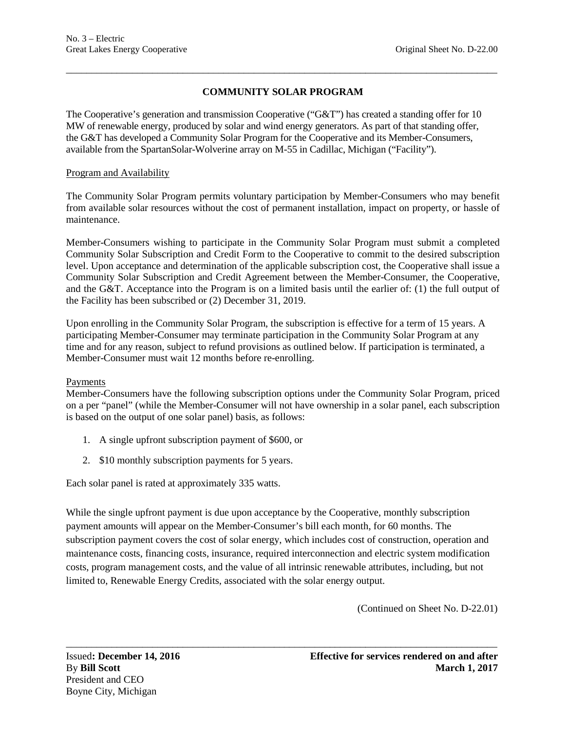# **COMMUNITY SOLAR PROGRAM**

\_\_\_\_\_\_\_\_\_\_\_\_\_\_\_\_\_\_\_\_\_\_\_\_\_\_\_\_\_\_\_\_\_\_\_\_\_\_\_\_\_\_\_\_\_\_\_\_\_\_\_\_\_\_\_\_\_\_\_\_\_\_\_\_\_\_\_\_\_\_\_\_\_\_\_\_\_\_\_\_\_\_\_\_\_

The Cooperative's generation and transmission Cooperative ("G&T") has created a standing offer for 10 MW of renewable energy, produced by solar and wind energy generators. As part of that standing offer, the G&T has developed a Community Solar Program for the Cooperative and its Member-Consumers, available from the SpartanSolar-Wolverine array on M-55 in Cadillac, Michigan ("Facility").

### Program and Availability

The Community Solar Program permits voluntary participation by Member-Consumers who may benefit from available solar resources without the cost of permanent installation, impact on property, or hassle of maintenance.

Member-Consumers wishing to participate in the Community Solar Program must submit a completed Community Solar Subscription and Credit Form to the Cooperative to commit to the desired subscription level. Upon acceptance and determination of the applicable subscription cost, the Cooperative shall issue a Community Solar Subscription and Credit Agreement between the Member-Consumer, the Cooperative, and the G&T. Acceptance into the Program is on a limited basis until the earlier of: (1) the full output of the Facility has been subscribed or (2) December 31, 2019.

Upon enrolling in the Community Solar Program, the subscription is effective for a term of 15 years. A participating Member-Consumer may terminate participation in the Community Solar Program at any time and for any reason, subject to refund provisions as outlined below. If participation is terminated, a Member-Consumer must wait 12 months before re-enrolling.

### Payments

Member-Consumers have the following subscription options under the Community Solar Program, priced on a per "panel" (while the Member-Consumer will not have ownership in a solar panel, each subscription is based on the output of one solar panel) basis, as follows:

- 1. A single upfront subscription payment of \$600, or
- 2. \$10 monthly subscription payments for 5 years.

Each solar panel is rated at approximately 335 watts.

While the single upfront payment is due upon acceptance by the Cooperative, monthly subscription payment amounts will appear on the Member-Consumer's bill each month, for 60 months. The subscription payment covers the cost of solar energy, which includes cost of construction, operation and maintenance costs, financing costs, insurance, required interconnection and electric system modification costs, program management costs, and the value of all intrinsic renewable attributes, including, but not limited to, Renewable Energy Credits, associated with the solar energy output.

\_\_\_\_\_\_\_\_\_\_\_\_\_\_\_\_\_\_\_\_\_\_\_\_\_\_\_\_\_\_\_\_\_\_\_\_\_\_\_\_\_\_\_\_\_\_\_\_\_\_\_\_\_\_\_\_\_\_\_\_\_\_\_\_\_\_\_\_\_\_\_\_\_\_\_\_\_\_\_\_\_\_\_\_\_

(Continued on Sheet No. D-22.01)